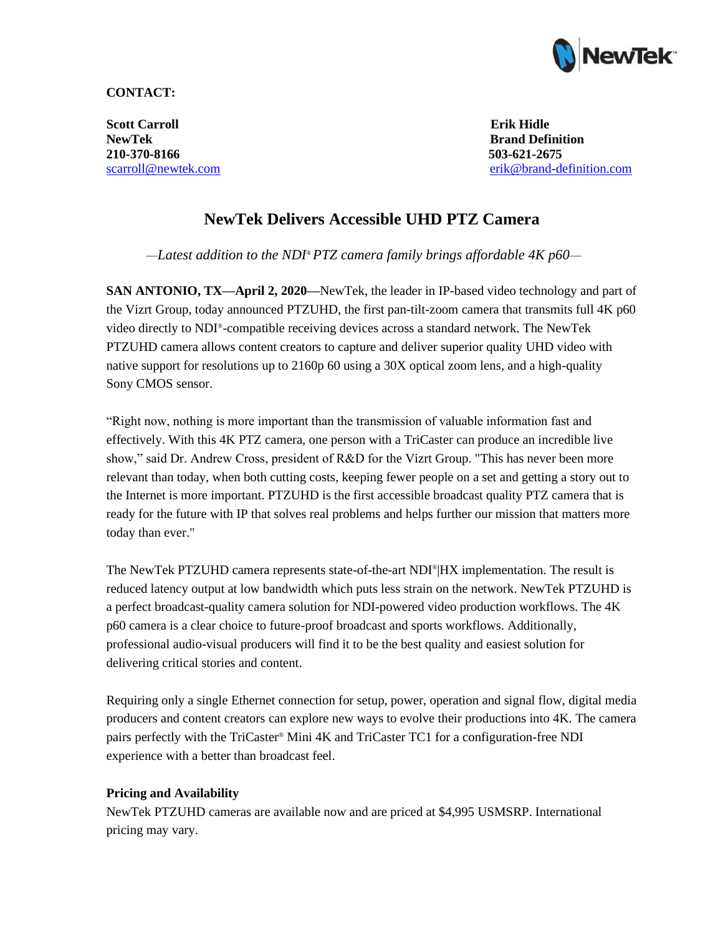

### **CONTACT:**

**Scott Carroll Erik Hidle NewTek Brand Definition 210-370-8166 503-621-2675**

scarroll@newtek.com [erik@brand-definition.com](mailto:erik@brand-definition.com)

# **NewTek Delivers Accessible UHD PTZ Camera**

*—Latest addition to the NDI® PTZ camera family brings affordable 4K p60—*

**SAN ANTONIO, TX—April 2, 2020—NewTek, the leader in IP-based video technology and part of** the Vizrt Group, today announced PTZUHD, the first pan-tilt-zoom camera that transmits full 4K p60 video directly to NDI® -compatible receiving devices across a standard network. The NewTek PTZUHD camera allows content creators to capture and deliver superior quality UHD video with native support for resolutions up to 2160p 60 using a 30X optical zoom lens, and a high-quality Sony CMOS sensor.

"Right now, nothing is more important than the transmission of valuable information fast and effectively. With this 4K PTZ camera, one person with a TriCaster can produce an incredible live show," said Dr. Andrew Cross, president of R&D for the Vizrt Group. "This has never been more relevant than today, when both cutting costs, keeping fewer people on a set and getting a story out to the Internet is more important. PTZUHD is the first accessible broadcast quality PTZ camera that is ready for the future with IP that solves real problems and helps further our mission that matters more today than ever."

The NewTek PTZUHD camera represents state-of-the-art NDI<sup>®</sup>|HX implementation. The result is reduced latency output at low bandwidth which puts less strain on the network. NewTek PTZUHD is a perfect broadcast-quality camera solution for NDI-powered video production workflows. The 4K p60 camera is a clear choice to future-proof broadcast and sports workflows. Additionally, professional audio-visual producers will find it to be the best quality and easiest solution for delivering critical stories and content.

Requiring only a single Ethernet connection for setup, power, operation and signal flow, digital media producers and content creators can explore new ways to evolve their productions into 4K. The camera pairs perfectly with the TriCaster® Mini 4K and TriCaster TC1 for a configuration-free NDI experience with a better than broadcast feel.

## **Pricing and Availability**

NewTek PTZUHD cameras are available now and are priced at \$4,995 USMSRP. International pricing may vary.